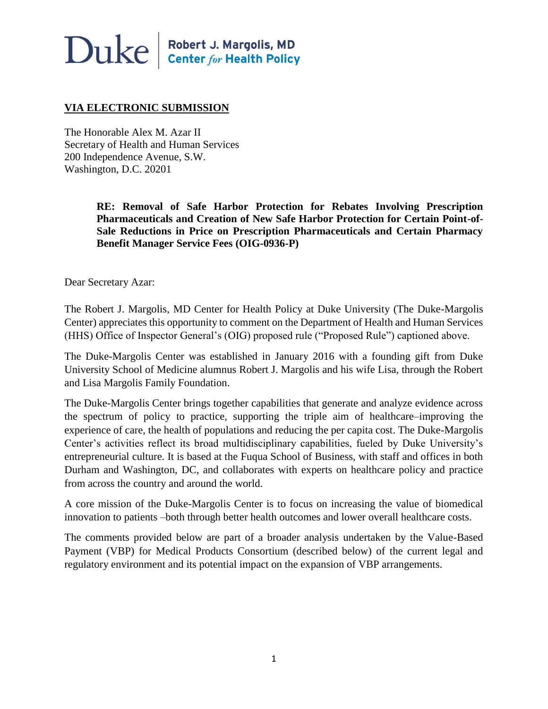# $\bf Duke \parallel^{\text{Robert J. Margolis, MD}}_{\text{Center for Health Policy}}$

#### **VIA ELECTRONIC SUBMISSION**

The Honorable Alex M. Azar II Secretary of Health and Human Services 200 Independence Avenue, S.W. Washington, D.C. 20201

> **RE: Removal of Safe Harbor Protection for Rebates Involving Prescription Pharmaceuticals and Creation of New Safe Harbor Protection for Certain Point-of-Sale Reductions in Price on Prescription Pharmaceuticals and Certain Pharmacy Benefit Manager Service Fees (OIG-0936-P)**

Dear Secretary Azar:

The Robert J. Margolis, MD Center for Health Policy at Duke University (The Duke-Margolis Center) appreciates this opportunity to comment on the Department of Health and Human Services (HHS) Office of Inspector General's (OIG) proposed rule ("Proposed Rule") captioned above.

The Duke-Margolis Center was established in January 2016 with a founding gift from Duke University School of Medicine alumnus Robert J. Margolis and his wife Lisa, through the Robert and Lisa Margolis Family Foundation.

The Duke-Margolis Center brings together capabilities that generate and analyze evidence across the spectrum of policy to practice, supporting the triple aim of healthcare–improving the experience of care, the health of populations and reducing the per capita cost. The Duke-Margolis Center's activities reflect its broad multidisciplinary capabilities, fueled by Duke University's entrepreneurial culture. It is based at the Fuqua School of Business, with staff and offices in both Durham and Washington, DC, and collaborates with experts on healthcare policy and practice from across the country and around the world.

A core mission of the Duke-Margolis Center is to focus on increasing the value of biomedical innovation to patients –both through better health outcomes and lower overall healthcare costs.

The comments provided below are part of a broader analysis undertaken by the Value-Based Payment (VBP) for Medical Products Consortium (described below) of the current legal and regulatory environment and its potential impact on the expansion of VBP arrangements.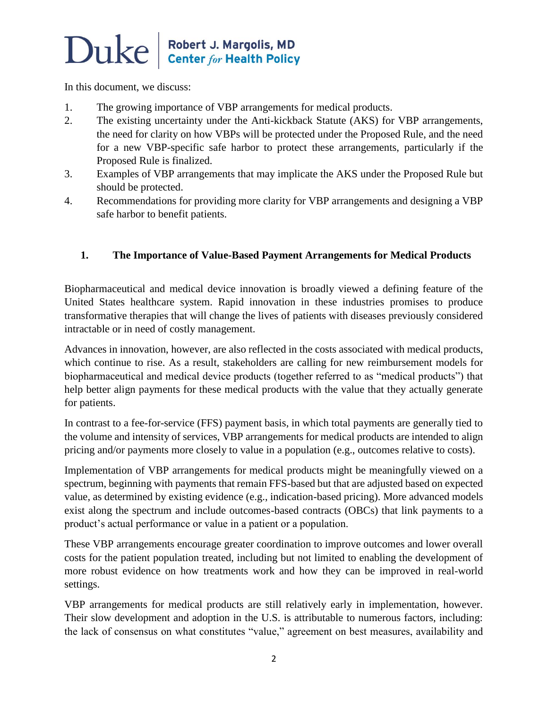# $\bf Duke \parallel^{\text{Robert J. Margolis, MD}}_{\text{Center for Health Policy}}$

In this document, we discuss:

- 1. The growing importance of VBP arrangements for medical products.
- 2. The existing uncertainty under the Anti-kickback Statute (AKS) for VBP arrangements, the need for clarity on how VBPs will be protected under the Proposed Rule, and the need for a new VBP-specific safe harbor to protect these arrangements, particularly if the Proposed Rule is finalized.
- 3. Examples of VBP arrangements that may implicate the AKS under the Proposed Rule but should be protected.
- 4. Recommendations for providing more clarity for VBP arrangements and designing a VBP safe harbor to benefit patients.

#### **1. The Importance of Value-Based Payment Arrangements for Medical Products**

Biopharmaceutical and medical device innovation is broadly viewed a defining feature of the United States healthcare system. Rapid innovation in these industries promises to produce transformative therapies that will change the lives of patients with diseases previously considered intractable or in need of costly management.

Advances in innovation, however, are also reflected in the costs associated with medical products, which continue to rise. As a result, stakeholders are calling for new reimbursement models for biopharmaceutical and medical device products (together referred to as "medical products") that help better align payments for these medical products with the value that they actually generate for patients.

In contrast to a fee-for-service (FFS) payment basis, in which total payments are generally tied to the volume and intensity of services, VBP arrangements for medical products are intended to align pricing and/or payments more closely to value in a population (e.g., outcomes relative to costs).

Implementation of VBP arrangements for medical products might be meaningfully viewed on a spectrum, beginning with payments that remain FFS-based but that are adjusted based on expected value, as determined by existing evidence (e.g., indication-based pricing). More advanced models exist along the spectrum and include outcomes-based contracts (OBCs) that link payments to a product's actual performance or value in a patient or a population.

These VBP arrangements encourage greater coordination to improve outcomes and lower overall costs for the patient population treated, including but not limited to enabling the development of more robust evidence on how treatments work and how they can be improved in real-world settings.

VBP arrangements for medical products are still relatively early in implementation, however. Their slow development and adoption in the U.S. is attributable to numerous factors, including: the lack of consensus on what constitutes "value," agreement on best measures, availability and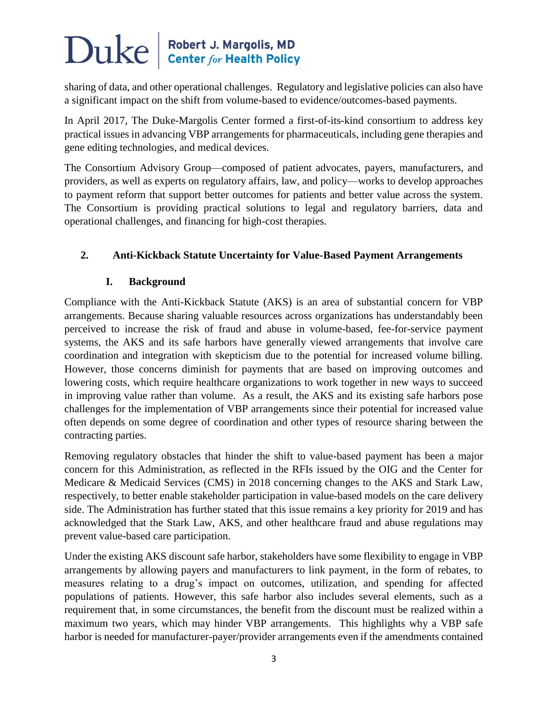# $\bf Duke \parallel^{Robert \, J. \, Margolis, \, MD}_{\, Center \, for \, Health \, Policy}$

sharing of data, and other operational challenges. Regulatory and legislative policies can also have a significant impact on the shift from volume-based to evidence/outcomes-based payments.

In April 2017, The Duke-Margolis Center formed a first-of-its-kind consortium to address key practical issues in advancing VBP arrangements for pharmaceuticals, including gene therapies and gene editing technologies, and medical devices.

The Consortium Advisory Group—composed of patient advocates, payers, manufacturers, and providers, as well as experts on regulatory affairs, law, and policy—works to develop approaches to payment reform that support better outcomes for patients and better value across the system. The Consortium is providing practical solutions to legal and regulatory barriers, data and operational challenges, and financing for high-cost therapies.

### **2. Anti-Kickback Statute Uncertainty for Value-Based Payment Arrangements**

### **I. Background**

Compliance with the Anti-Kickback Statute (AKS) is an area of substantial concern for VBP arrangements. Because sharing valuable resources across organizations has understandably been perceived to increase the risk of fraud and abuse in volume-based, fee-for-service payment systems, the AKS and its safe harbors have generally viewed arrangements that involve care coordination and integration with skepticism due to the potential for increased volume billing. However, those concerns diminish for payments that are based on improving outcomes and lowering costs, which require healthcare organizations to work together in new ways to succeed in improving value rather than volume. As a result, the AKS and its existing safe harbors pose challenges for the implementation of VBP arrangements since their potential for increased value often depends on some degree of coordination and other types of resource sharing between the contracting parties.

Removing regulatory obstacles that hinder the shift to value-based payment has been a major concern for this Administration, as reflected in the RFIs issued by the OIG and the Center for Medicare & Medicaid Services (CMS) in 2018 concerning changes to the AKS and Stark Law, respectively, to better enable stakeholder participation in value-based models on the care delivery side. The Administration has further stated that this issue remains a key priority for 2019 and has acknowledged that the Stark Law, AKS, and other healthcare fraud and abuse regulations may prevent value-based care participation.

Under the existing AKS discount safe harbor, stakeholders have some flexibility to engage in VBP arrangements by allowing payers and manufacturers to link payment, in the form of rebates, to measures relating to a drug's impact on outcomes, utilization, and spending for affected populations of patients. However, this safe harbor also includes several elements, such as a requirement that, in some circumstances, the benefit from the discount must be realized within a maximum two years, which may hinder VBP arrangements. This highlights why a VBP safe harbor is needed for manufacturer-payer/provider arrangements even if the amendments contained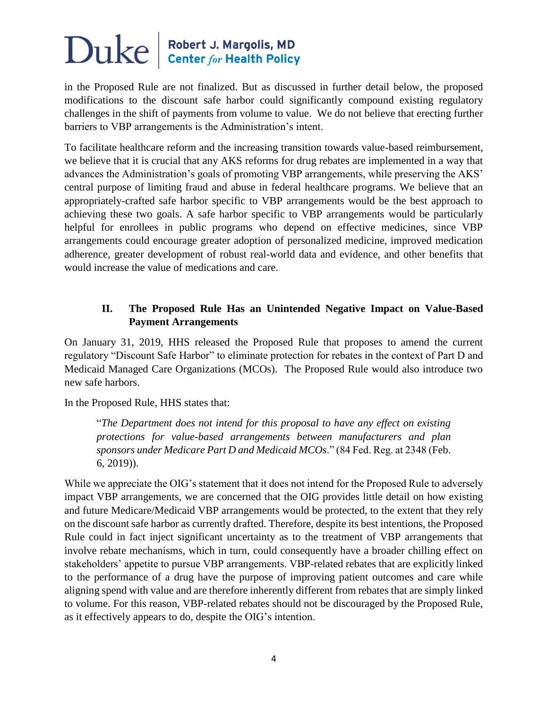## $\sum$ U $ke$  Robert J. Margolis, MD

in the Proposed Rule are not finalized. But as discussed in further detail below, the proposed modifications to the discount safe harbor could significantly compound existing regulatory challenges in the shift of payments from volume to value. We do not believe that erecting further barriers to VBP arrangements is the Administration's intent.

To facilitate healthcare reform and the increasing transition towards value-based reimbursement, we believe that it is crucial that any AKS reforms for drug rebates are implemented in a way that advances the Administration's goals of promoting VBP arrangements, while preserving the AKS' central purpose of limiting fraud and abuse in federal healthcare programs. We believe that an appropriately-crafted safe harbor specific to VBP arrangements would be the best approach to achieving these two goals. A safe harbor specific to VBP arrangements would be particularly helpful for enrollees in public programs who depend on effective medicines, since VBP arrangements could encourage greater adoption of personalized medicine, improved medication adherence, greater development of robust real-world data and evidence, and other benefits that would increase the value of medications and care.

#### **II. The Proposed Rule Has an Unintended Negative Impact on Value-Based Payment Arrangements**

On January 31, 2019, HHS released the Proposed Rule that proposes to amend the current regulatory "Discount Safe Harbor" to eliminate protection for rebates in the context of Part D and Medicaid Managed Care Organizations (MCOs). The Proposed Rule would also introduce two new safe harbors.

In the Proposed Rule, HHS states that:

"*The Department does not intend for this proposal to have any effect on existing protections for value-based arrangements between manufacturers and plan sponsors under Medicare Part D and Medicaid MCOs*." (84 Fed. Reg. at 2348 (Feb. 6, 2019)).

While we appreciate the OIG's statement that it does not intend for the Proposed Rule to adversely impact VBP arrangements, we are concerned that the OIG provides little detail on how existing and future Medicare/Medicaid VBP arrangements would be protected, to the extent that they rely on the discount safe harbor as currently drafted. Therefore, despite its best intentions, the Proposed Rule could in fact inject significant uncertainty as to the treatment of VBP arrangements that involve rebate mechanisms, which in turn, could consequently have a broader chilling effect on stakeholders' appetite to pursue VBP arrangements. VBP-related rebates that are explicitly linked to the performance of a drug have the purpose of improving patient outcomes and care while aligning spend with value and are therefore inherently different from rebates that are simply linked to volume. For this reason, VBP-related rebates should not be discouraged by the Proposed Rule, as it effectively appears to do, despite the OIG's intention.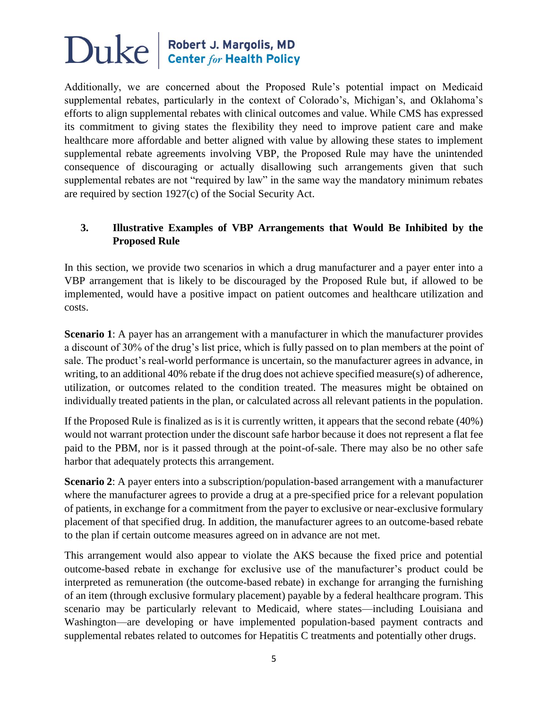### $\sum$ U $ke$  Robert J. Margolis, MD

Additionally, we are concerned about the Proposed Rule's potential impact on Medicaid supplemental rebates, particularly in the context of Colorado's, Michigan's, and Oklahoma's efforts to align supplemental rebates with clinical outcomes and value. While CMS has expressed its commitment to giving states the flexibility they need to improve patient care and make healthcare more affordable and better aligned with value by allowing these states to implement supplemental rebate agreements involving VBP, the Proposed Rule may have the unintended consequence of discouraging or actually disallowing such arrangements given that such supplemental rebates are not "required by law" in the same way the mandatory minimum rebates are required by section 1927(c) of the Social Security Act.

### **3. Illustrative Examples of VBP Arrangements that Would Be Inhibited by the Proposed Rule**

In this section, we provide two scenarios in which a drug manufacturer and a payer enter into a VBP arrangement that is likely to be discouraged by the Proposed Rule but, if allowed to be implemented, would have a positive impact on patient outcomes and healthcare utilization and costs.

**Scenario 1**: A payer has an arrangement with a manufacturer in which the manufacturer provides a discount of 30% of the drug's list price, which is fully passed on to plan members at the point of sale. The product's real-world performance is uncertain, so the manufacturer agrees in advance, in writing, to an additional 40% rebate if the drug does not achieve specified measure(s) of adherence, utilization, or outcomes related to the condition treated. The measures might be obtained on individually treated patients in the plan, or calculated across all relevant patients in the population.

If the Proposed Rule is finalized as is it is currently written, it appears that the second rebate (40%) would not warrant protection under the discount safe harbor because it does not represent a flat fee paid to the PBM, nor is it passed through at the point-of-sale. There may also be no other safe harbor that adequately protects this arrangement.

**Scenario 2**: A payer enters into a subscription/population-based arrangement with a manufacturer where the manufacturer agrees to provide a drug at a pre-specified price for a relevant population of patients, in exchange for a commitment from the payer to exclusive or near-exclusive formulary placement of that specified drug. In addition, the manufacturer agrees to an outcome-based rebate to the plan if certain outcome measures agreed on in advance are not met.

This arrangement would also appear to violate the AKS because the fixed price and potential outcome-based rebate in exchange for exclusive use of the manufacturer's product could be interpreted as remuneration (the outcome-based rebate) in exchange for arranging the furnishing of an item (through exclusive formulary placement) payable by a federal healthcare program. This scenario may be particularly relevant to Medicaid, where states—including Louisiana and Washington—are developing or have implemented population-based payment contracts and supplemental rebates related to outcomes for Hepatitis C treatments and potentially other drugs.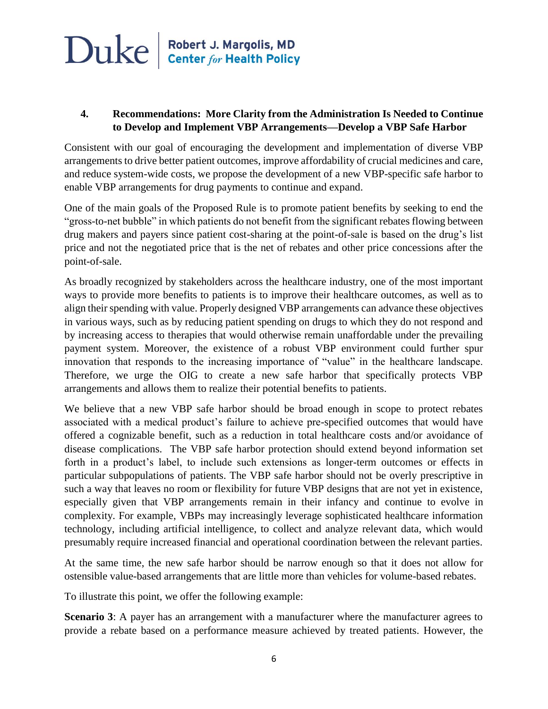#### **4. Recommendations: More Clarity from the Administration Is Needed to Continue to Develop and Implement VBP Arrangements—Develop a VBP Safe Harbor**

Consistent with our goal of encouraging the development and implementation of diverse VBP arrangements to drive better patient outcomes, improve affordability of crucial medicines and care, and reduce system-wide costs, we propose the development of a new VBP-specific safe harbor to enable VBP arrangements for drug payments to continue and expand.

One of the main goals of the Proposed Rule is to promote patient benefits by seeking to end the "gross-to-net bubble" in which patients do not benefit from the significant rebates flowing between drug makers and payers since patient cost-sharing at the point-of-sale is based on the drug's list price and not the negotiated price that is the net of rebates and other price concessions after the point-of-sale.

As broadly recognized by stakeholders across the healthcare industry, one of the most important ways to provide more benefits to patients is to improve their healthcare outcomes, as well as to align their spending with value. Properly designed VBP arrangements can advance these objectives in various ways, such as by reducing patient spending on drugs to which they do not respond and by increasing access to therapies that would otherwise remain unaffordable under the prevailing payment system. Moreover, the existence of a robust VBP environment could further spur innovation that responds to the increasing importance of "value" in the healthcare landscape. Therefore, we urge the OIG to create a new safe harbor that specifically protects VBP arrangements and allows them to realize their potential benefits to patients.

We believe that a new VBP safe harbor should be broad enough in scope to protect rebates associated with a medical product's failure to achieve pre-specified outcomes that would have offered a cognizable benefit, such as a reduction in total healthcare costs and/or avoidance of disease complications. The VBP safe harbor protection should extend beyond information set forth in a product's label, to include such extensions as longer-term outcomes or effects in particular subpopulations of patients. The VBP safe harbor should not be overly prescriptive in such a way that leaves no room or flexibility for future VBP designs that are not yet in existence, especially given that VBP arrangements remain in their infancy and continue to evolve in complexity. For example, VBPs may increasingly leverage sophisticated healthcare information technology, including artificial intelligence, to collect and analyze relevant data, which would presumably require increased financial and operational coordination between the relevant parties.

At the same time, the new safe harbor should be narrow enough so that it does not allow for ostensible value-based arrangements that are little more than vehicles for volume-based rebates.

To illustrate this point, we offer the following example:

**Scenario 3**: A payer has an arrangement with a manufacturer where the manufacturer agrees to provide a rebate based on a performance measure achieved by treated patients. However, the